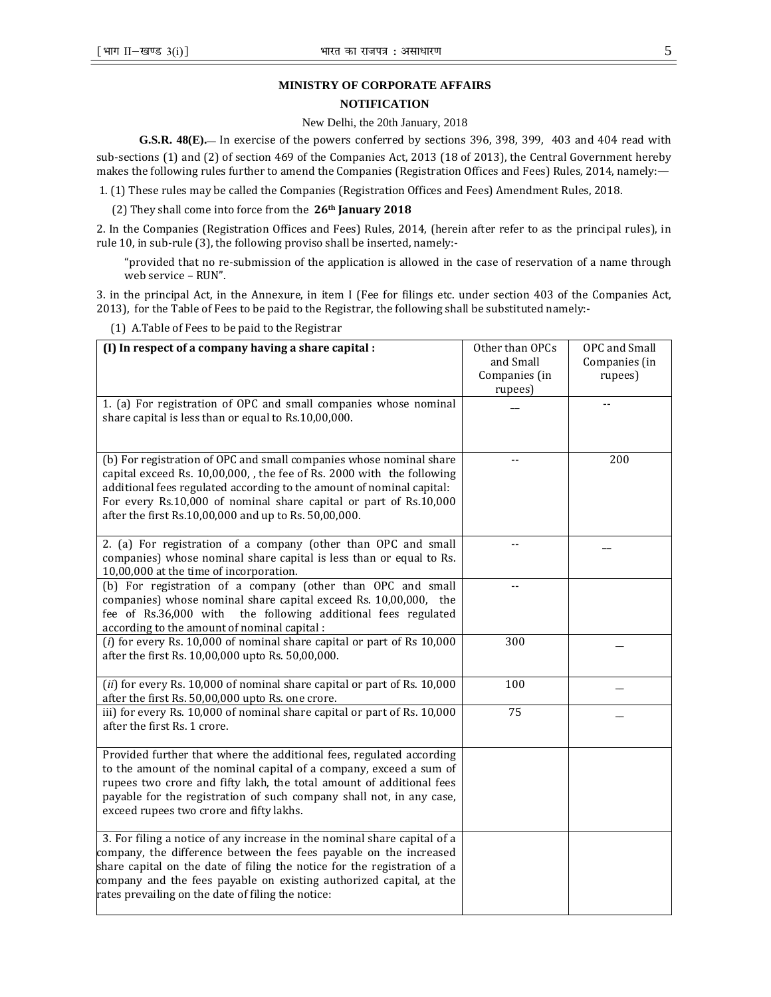## **MINISTRY OF CORPORATE AFFAIRS**

## **NOTIFICATION**

## New Delhi, the 20th January, 2018

**G.S.R. 48(E).**— In exercise of the powers conferred by sections 396, 398, 399, 403 and 404 read with

sub-sections (1) and (2) of section 469 of the Companies Act, 2013 (18 of 2013), the Central Government hereby makes the following rules further to amend the Companies (Registration Offices and Fees) Rules, 2014, namely:—

1. (1) These rules may be called the Companies (Registration Offices and Fees) Amendment Rules, 2018.

(2) They shall come into force from the  $26<sup>th</sup>$  January 2018

2. In the Companies (Registration Offices and Fees) Rules, 2014, (herein after refer to as the principal rules), in rule 10, in sub-rule (3), the following proviso shall be inserted, namely:-

"provided that no re-submission of the application is allowed in the case of reservation of a name through web service – RUN".

3. in the principal Act, in the Annexure, in item I (Fee for filings etc. under section 403 of the Companies Act, 2013), for the Table of Fees to be paid to the Registrar, the following shall be substituted namely:-

(1) A.Table of Fees to be paid to the Registrar

| (I) In respect of a company having a share capital :                                                                                                                                                                                                                                                                                                   | Other than OPCs<br>and Small<br>Companies (in<br>rupees) | OPC and Small<br>Companies (in<br>rupees) |
|--------------------------------------------------------------------------------------------------------------------------------------------------------------------------------------------------------------------------------------------------------------------------------------------------------------------------------------------------------|----------------------------------------------------------|-------------------------------------------|
| 1. (a) For registration of OPC and small companies whose nominal<br>share capital is less than or equal to Rs.10,00,000.                                                                                                                                                                                                                               |                                                          | $-$                                       |
| (b) For registration of OPC and small companies whose nominal share<br>capital exceed Rs. 10,00,000, the fee of Rs. 2000 with the following<br>additional fees regulated according to the amount of nominal capital:<br>For every Rs.10,000 of nominal share capital or part of Rs.10,000<br>after the first Rs.10,00,000 and up to Rs. 50,00,000.     |                                                          | 200                                       |
| 2. (a) For registration of a company (other than OPC and small<br>companies) whose nominal share capital is less than or equal to Rs.<br>10,00,000 at the time of incorporation.                                                                                                                                                                       | $-$                                                      |                                           |
| (b) For registration of a company (other than OPC and small<br>companies) whose nominal share capital exceed Rs. 10,00,000, the<br>fee of Rs.36,000 with<br>the following additional fees regulated<br>according to the amount of nominal capital :                                                                                                    |                                                          |                                           |
| $(i)$ for every Rs. 10,000 of nominal share capital or part of Rs 10,000<br>after the first Rs. 10,00,000 upto Rs. 50,00,000.                                                                                                                                                                                                                          | 300                                                      |                                           |
| $(ii)$ for every Rs. 10,000 of nominal share capital or part of Rs. 10,000<br>after the first Rs. 50,00,000 upto Rs. one crore.                                                                                                                                                                                                                        | 100                                                      |                                           |
| iii) for every Rs. 10,000 of nominal share capital or part of Rs. 10,000<br>after the first Rs. 1 crore.                                                                                                                                                                                                                                               | 75                                                       |                                           |
| Provided further that where the additional fees, regulated according<br>to the amount of the nominal capital of a company, exceed a sum of<br>rupees two crore and fifty lakh, the total amount of additional fees<br>payable for the registration of such company shall not, in any case,<br>exceed rupees two crore and fifty lakhs.                 |                                                          |                                           |
| 3. For filing a notice of any increase in the nominal share capital of a<br>company, the difference between the fees payable on the increased<br>share capital on the date of filing the notice for the registration of a<br>company and the fees payable on existing authorized capital, at the<br>rates prevailing on the date of filing the notice: |                                                          |                                           |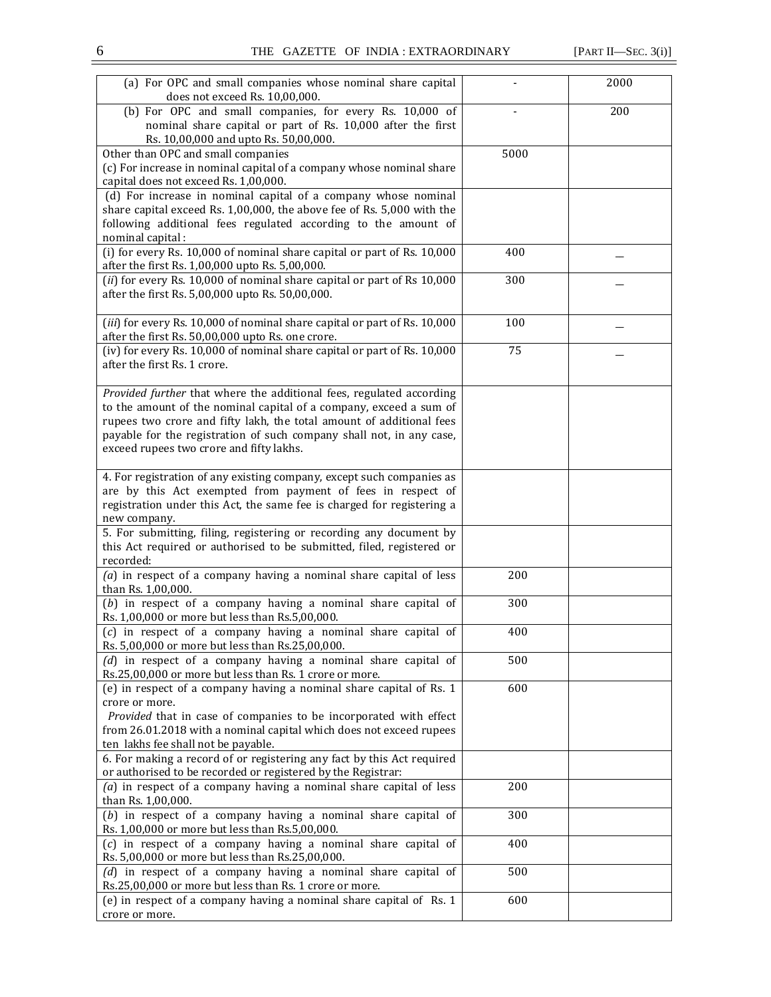| (a) For OPC and small companies whose nominal share capital<br>does not exceed Rs. 10,00,000.                                                       |      | 2000 |
|-----------------------------------------------------------------------------------------------------------------------------------------------------|------|------|
| (b) For OPC and small companies, for every Rs. 10,000 of<br>nominal share capital or part of Rs. 10,000 after the first                             |      | 200  |
| Rs. 10,00,000 and upto Rs. 50,00,000.                                                                                                               |      |      |
| Other than OPC and small companies<br>(c) For increase in nominal capital of a company whose nominal share<br>capital does not exceed Rs. 1,00,000. | 5000 |      |
| (d) For increase in nominal capital of a company whose nominal<br>share capital exceed Rs. 1,00,000, the above fee of Rs. 5,000 with the            |      |      |
| following additional fees regulated according to the amount of<br>nominal capital :                                                                 |      |      |
| (i) for every Rs. 10,000 of nominal share capital or part of Rs. 10,000<br>after the first Rs. 1,00,000 upto Rs. 5,00,000.                          | 400  |      |
| $(ii)$ for every Rs. 10,000 of nominal share capital or part of Rs 10,000<br>after the first Rs. 5,00,000 upto Rs. 50,00,000.                       | 300  |      |
| (iii) for every Rs. 10,000 of nominal share capital or part of Rs. 10,000<br>after the first Rs. 50,00,000 upto Rs. one crore.                      | 100  |      |
| (iv) for every Rs. 10,000 of nominal share capital or part of Rs. 10,000<br>after the first Rs. 1 crore.                                            | 75   |      |
| Provided further that where the additional fees, regulated according<br>to the amount of the nominal capital of a company, exceed a sum of          |      |      |
| rupees two crore and fifty lakh, the total amount of additional fees<br>payable for the registration of such company shall not, in any case,        |      |      |
| exceed rupees two crore and fifty lakhs.                                                                                                            |      |      |
| 4. For registration of any existing company, except such companies as<br>are by this Act exempted from payment of fees in respect of                |      |      |
| registration under this Act, the same fee is charged for registering a<br>new company.                                                              |      |      |
| 5. For submitting, filing, registering or recording any document by                                                                                 |      |      |
| this Act required or authorised to be submitted, filed, registered or<br>recorded:                                                                  |      |      |
| $(a)$ in respect of a company having a nominal share capital of less<br>than Rs. 1,00,000.                                                          | 200  |      |
| (b) in respect of a company having a nominal share capital of<br>Rs. 1,00,000 or more but less than Rs.5,00,000.                                    | 300  |      |
| $(c)$ in respect of a company having a nominal share capital of<br>Rs. 5,00,000 or more but less than Rs.25,00,000.                                 | 400  |      |
| $(d)$ in respect of a company having a nominal share capital of<br>Rs.25,00,000 or more but less than Rs. 1 crore or more.                          | 500  |      |
| (e) in respect of a company having a nominal share capital of Rs. 1<br>crore or more.                                                               | 600  |      |
| Provided that in case of companies to be incorporated with effect<br>from 26.01.2018 with a nominal capital which does not exceed rupees            |      |      |
| ten lakhs fee shall not be payable.                                                                                                                 |      |      |
| 6. For making a record of or registering any fact by this Act required<br>or authorised to be recorded or registered by the Registrar:              |      |      |
| $(a)$ in respect of a company having a nominal share capital of less<br>than Rs. 1,00,000.                                                          | 200  |      |
| $(b)$ in respect of a company having a nominal share capital of<br>Rs. 1,00,000 or more but less than Rs.5,00,000.                                  | 300  |      |
| (c) in respect of a company having a nominal share capital of<br>Rs. 5,00,000 or more but less than Rs.25,00,000.                                   | 400  |      |
| $(d)$ in respect of a company having a nominal share capital of<br>Rs.25,00,000 or more but less than Rs. 1 crore or more.                          | 500  |      |
| (e) in respect of a company having a nominal share capital of Rs. 1                                                                                 | 600  |      |
| crore or more.                                                                                                                                      |      |      |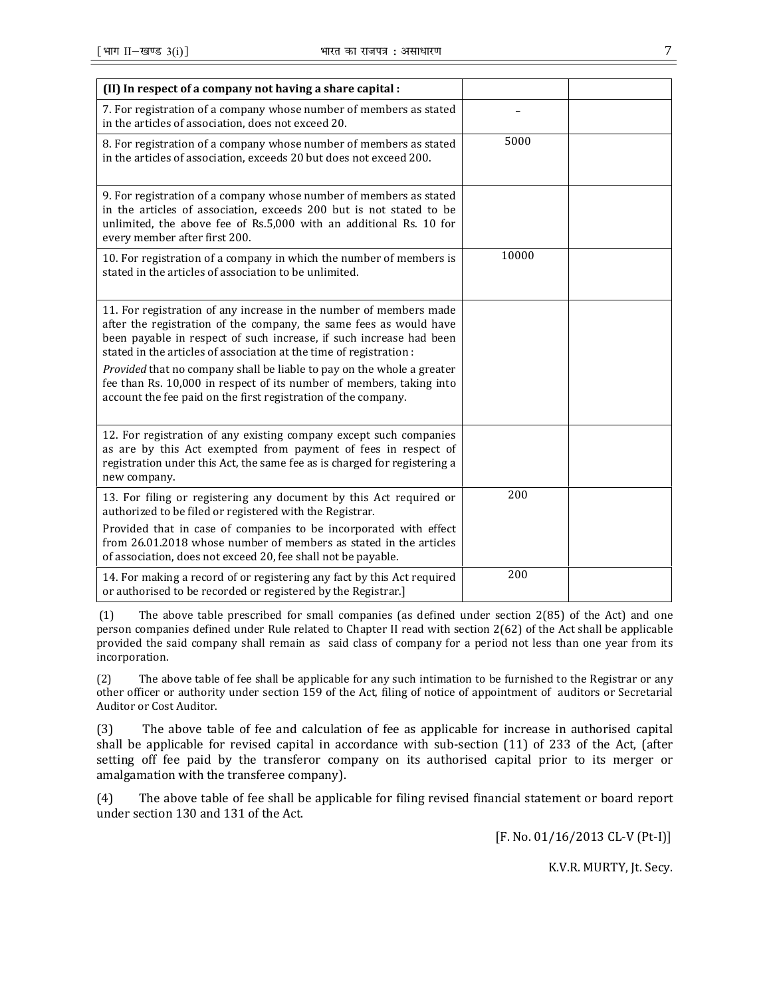| (II) In respect of a company not having a share capital :                                                                                                                                                                                                                                                                                                                                                                                                                                                  |       |  |
|------------------------------------------------------------------------------------------------------------------------------------------------------------------------------------------------------------------------------------------------------------------------------------------------------------------------------------------------------------------------------------------------------------------------------------------------------------------------------------------------------------|-------|--|
|                                                                                                                                                                                                                                                                                                                                                                                                                                                                                                            |       |  |
| 7. For registration of a company whose number of members as stated<br>in the articles of association, does not exceed 20.                                                                                                                                                                                                                                                                                                                                                                                  |       |  |
| 8. For registration of a company whose number of members as stated<br>in the articles of association, exceeds 20 but does not exceed 200.                                                                                                                                                                                                                                                                                                                                                                  | 5000  |  |
| 9. For registration of a company whose number of members as stated<br>in the articles of association, exceeds 200 but is not stated to be<br>unlimited, the above fee of Rs.5,000 with an additional Rs. 10 for<br>every member after first 200.                                                                                                                                                                                                                                                           |       |  |
| 10. For registration of a company in which the number of members is<br>stated in the articles of association to be unlimited.                                                                                                                                                                                                                                                                                                                                                                              | 10000 |  |
| 11. For registration of any increase in the number of members made<br>after the registration of the company, the same fees as would have<br>been payable in respect of such increase, if such increase had been<br>stated in the articles of association at the time of registration :<br>Provided that no company shall be liable to pay on the whole a greater<br>fee than Rs. 10,000 in respect of its number of members, taking into<br>account the fee paid on the first registration of the company. |       |  |
| 12. For registration of any existing company except such companies<br>as are by this Act exempted from payment of fees in respect of<br>registration under this Act, the same fee as is charged for registering a<br>new company.                                                                                                                                                                                                                                                                          |       |  |
| 13. For filing or registering any document by this Act required or<br>authorized to be filed or registered with the Registrar.<br>Provided that in case of companies to be incorporated with effect<br>from 26.01.2018 whose number of members as stated in the articles<br>of association, does not exceed 20, fee shall not be payable.                                                                                                                                                                  | 200   |  |
| 14. For making a record of or registering any fact by this Act required<br>or authorised to be recorded or registered by the Registrar.]                                                                                                                                                                                                                                                                                                                                                                   | 200   |  |

 (1) The above table prescribed for small companies (as defined under section 2(85) of the Act) and one person companies defined under Rule related to Chapter II read with section 2(62) of the Act shall be applicable provided the said company shall remain as said class of company for a period not less than one year from its incorporation.

(2) The above table of fee shall be applicable for any such intimation to be furnished to the Registrar or any other officer or authority under section 159 of the Act, filing of notice of appointment of auditors or Secretarial Auditor or Cost Auditor.

(3) The above table of fee and calculation of fee as applicable for increase in authorised capital shall be applicable for revised capital in accordance with sub-section (11) of 233 of the Act, (after setting off fee paid by the transferor company on its authorised capital prior to its merger or amalgamation with the transferee company).

(4) The above table of fee shall be applicable for filing revised financial statement or board report under section 130 and 131 of the Act.

[F. No. 01/16/2013 CL-V (Pt-I)]

K.V.R. MURTY, Jt. Secy.